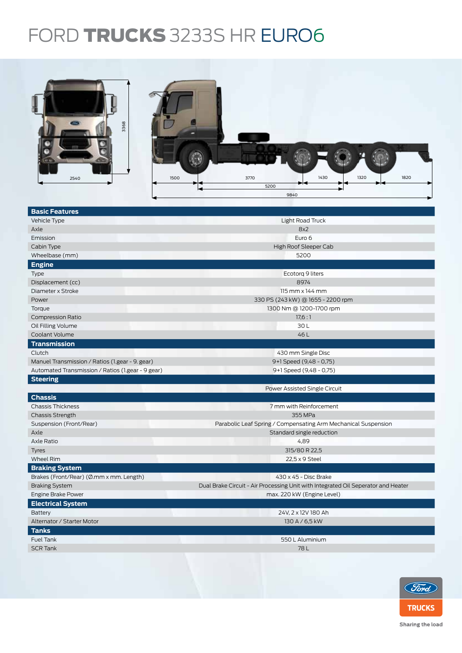## FORD **TRUCKS** 3233S HR EURO6

| 3368<br>450 |                   |      |      |      |      |  |
|-------------|-------------------|------|------|------|------|--|
| 2540        | 1500              | 3770 | 1430 | 1320 | 1820 |  |
|             | ⊷<br>5200<br>9840 |      |      |      |      |  |

| <b>Basic Features</b>                             |                                                                                   |  |  |  |  |
|---------------------------------------------------|-----------------------------------------------------------------------------------|--|--|--|--|
| Vehicle Type                                      | Light Road Truck                                                                  |  |  |  |  |
| Axle                                              | 8x2                                                                               |  |  |  |  |
| Emission                                          | Euro 6                                                                            |  |  |  |  |
| Cabin Type                                        | High Roof Sleeper Cab                                                             |  |  |  |  |
| Wheelbase (mm)                                    | 5200                                                                              |  |  |  |  |
| <b>Engine</b>                                     |                                                                                   |  |  |  |  |
| Type                                              | Ecotorq 9 liters                                                                  |  |  |  |  |
| Displacement (cc)                                 | 8974                                                                              |  |  |  |  |
| Diameter x Stroke                                 | $115$ mm $\times$ 144 mm                                                          |  |  |  |  |
| Power                                             | 330 PS (243 kW) @ 1655 - 2200 rpm                                                 |  |  |  |  |
| Torque                                            | 1300 Nm @ 1200-1700 rpm                                                           |  |  |  |  |
| <b>Compression Ratio</b>                          | 17,6:1                                                                            |  |  |  |  |
| Oil Filling Volume                                | 30L                                                                               |  |  |  |  |
| Coolant Volume                                    | 46L                                                                               |  |  |  |  |
| <b>Transmission</b>                               |                                                                                   |  |  |  |  |
| Clutch                                            | 430 mm Single Disc                                                                |  |  |  |  |
| Manuel Transmission / Ratios (1.gear - 9. gear)   | 9+1 Speed (9,48 - 0,75)                                                           |  |  |  |  |
| Automated Transmission / Ratios (1.gear - 9 gear) | 9+1 Speed (9,48 - 0,75)                                                           |  |  |  |  |
| <b>Steering</b>                                   |                                                                                   |  |  |  |  |
|                                                   | Power Assisted Single Circuit                                                     |  |  |  |  |
| <b>Chassis</b>                                    |                                                                                   |  |  |  |  |
| <b>Chassis Thickness</b>                          | 7 mm with Reinforcement                                                           |  |  |  |  |
| <b>Chassis Strength</b>                           | 355 MPa                                                                           |  |  |  |  |
| Suspension (Front/Rear)                           | Parabolic Leaf Spring / Compensating Arm Mechanical Suspension                    |  |  |  |  |
| Axle                                              | Standard single reduction                                                         |  |  |  |  |
| Axle Ratio                                        | 4,89                                                                              |  |  |  |  |
| Tyres                                             | 315/80 R 22,5                                                                     |  |  |  |  |
| <b>Wheel Rim</b>                                  | 22,5 x 9 Steel                                                                    |  |  |  |  |
| <b>Braking System</b>                             |                                                                                   |  |  |  |  |
| Brakes (Front/Rear) (Ø.mm x mm. Length)           | 430 x 45 - Disc Brake                                                             |  |  |  |  |
| <b>Braking System</b>                             | Dual Brake Circuit - Air Processing Unit with Integrated Oil Seperator and Heater |  |  |  |  |
| Engine Brake Power                                | max. 220 kW (Engine Level)                                                        |  |  |  |  |
| <b>Electrical System</b>                          |                                                                                   |  |  |  |  |
| <b>Battery</b>                                    | 24V, 2 x 12V 180 Ah                                                               |  |  |  |  |
| Alternator / Starter Motor                        | 130 A / 6,5 kW                                                                    |  |  |  |  |
| <b>Tanks</b>                                      |                                                                                   |  |  |  |  |
| <b>Fuel Tank</b>                                  | 550 L Aluminium                                                                   |  |  |  |  |
| <b>SCR Tank</b>                                   | 78L                                                                               |  |  |  |  |
|                                                   |                                                                                   |  |  |  |  |
|                                                   |                                                                                   |  |  |  |  |



Sharing the load